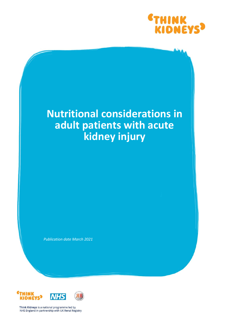

# **Nutritional considerations in adult patients with acute kidney injury**

*Publication date March 2021*



Think Kidneys is a national programme led by NHS England in partnership with UK Renal Registry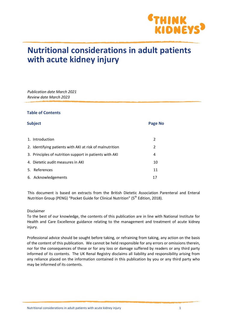

## **Nutritional considerations in adult patients with acute kidney injury**

*Publication date March 2021 Review date March 2023*

#### **Table of Contents**

| <b>Subject</b> |                                                          | <b>Page No</b> |  |
|----------------|----------------------------------------------------------|----------------|--|
|                |                                                          |                |  |
|                | 1. Introduction                                          | 2              |  |
|                | 2. Identifying patients with AKI at risk of malnutrition | 2              |  |
|                | 3. Principles of nutrition support in patients with AKI  | 4              |  |
|                | 4. Dietetic audit measures in AKI                        | 10             |  |
|                | 5. References                                            | 11             |  |
|                | 6. Acknowledgements                                      | 17             |  |

This document is based on extracts from the British Dietetic Association Parenteral and Enteral Nutrition Group (PENG) "Pocket Guide for Clinical Nutrition" (5<sup>th</sup> Edition, 2018).

#### Disclaimer

To the best of our knowledge, the contents of this publication are in line with National Institute for Health and Care Excellence guidance relating to the management and treatment of acute kidney injury.

Professional advice should be sought before taking, or refraining from taking, any action on the basis of the content of this publication. We cannot be held responsible for any errors or omissions therein, nor for the consequences of these or for any loss or damage suffered by readers or any third party informed of its contents. The UK Renal Registry disclaims all liability and responsibility arising from any reliance placed on the information contained in this publication by you or any third party who may be informed of its contents.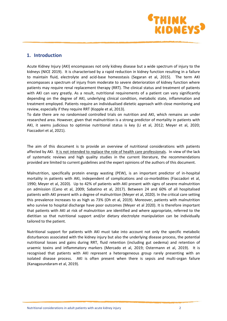

## **1. Introduction**

Acute Kidney Injury (AKI) encompasses not only kidney disease but a wide spectrum of injury to the kidneys (NICE 2019). It is characterised by a rapid reduction in kidney function resulting in a failure to maintain fluid, electrolyte and acid-base homeostasis (Segaran et al, 2015). The term AKI encompasses a spectrum of injury from moderate to severe deterioration of kidney function where patients may require renal replacement therapy (RRT). The clinical status and treatment of patients with AKI can vary greatly. As a result, nutritional requirements of a patient can vary significantly depending on the degree of AKI, underlying clinical condition, metabolic state, inflammation and treatment employed. Patients require an individualised dietetic approach with close monitoring and review, especially if they require RRT (Kopple et al, 2013).

To date there are no randomised controlled trials on nutrition and AKI, which remains an under researched area. However, given that malnutrition is a strong predictor of mortality in patients with AKI, it seems judicious to optimise nutritional status is key (Li et al, 2012; Meyer et al, 2020; Fiaccadori et al, 2021).

The aim of this document is to provide an overview of nutritional considerations with patients affected by AKI. It is not intended to replace the role of health care professionals. In view of the lack of systematic reviews and high quality studies in the current literature, the recommendations provided are limited to current guidelines and the expert opinions of the authors of this document.

Malnutrition, specifically protein energy wasting (PEW), is an important predictor of in-hospital mortality in patients with AKI, independent of complications and co-morbidities (Fiaccadori et al, 1990; Meyer et al, 2020). Up to 42% of patients with AKI present with signs of severe malnutrition on admission (Cano et al, 2009; Sabatino et al, 2017). Between 24 and 60% of all hospitalised patients with AKI present with a degree of malnutrition (Meyer et al, 2020). In the critical care setting this prevalence increases to as high as 73% (Oh et al, 2019). Moreover, patients with malnutrition who survive to hospital discharge have poor outcomes (Meyer et al 2020). It is therefore important that patients with AKI at risk of malnutrition are identified and where appropriate, referred to the dietitian so that nutritional support and/or dietary electrolyte manipulation can be individually tailored to the patient.

Nutritional support for patients with AKI must take into account not only the specific metabolic disturbances associated with the kidney injury but also the underlying disease process, the potential nutritional losses and gains during RRT, fluid retention (including gut oedema) and retention of uraemic toxins and inflammatory markers (Mercado et al, 2019; Ostermann et al, 2019). It is recognised that patients with AKI represent a heterogeneous group rarely presenting with an isolated disease process. AKI is often present when there is sepsis and multi-organ failure (Kanagasundaram et al, 2019).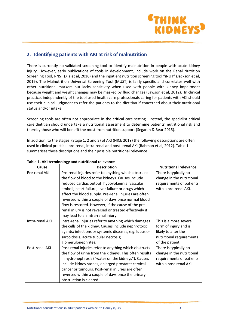

## **2. Identifying patients with AKI at risk of malnutrition**

There is currently no validated screening tool to identify malnutrition in people with acute kidney injury. However, early publications of tools in development, include work on the Renal Nutrition Screening Tool, RNST (Xia et al, 2016) and the inpatient nutrition screening tool "iNUT" (Jackson et al, 2019). The Malnutrition Universal Screening Tool (MUST) is fairly specific and correlates well with other nutritional markers but lacks sensitivity when used with people with kidney impairment because weight and weight changes may be masked by fluid changes (Lawson et al, 2012). In clinical practice, independently of the tool used health care professionals caring for patients with AKI should use their clinical judgment to refer the patients to the dietitian if concerned about their nutritional status and/or intake.

Screening tools are often not appropriate in the critical care setting. Instead, the specialist critical care dietitian should undertake a nutritional assessment to determine patients' nutritional risk and thereby those who will benefit the most from nutrition support (Segaran & Bear 2015).

In addition, to the stages (Stage 1, 2 and 3) of AKI (NICE 2019) the following descriptions are often used in clinical practice: pre-renal, intra-renal and post -renal AKI (Rahman et al, 2012). Table 1 summarises these descriptions and their possible nutritional relevance.

| Cause           | <b>Description</b>                                     | <b>Nutritional relevance</b> |  |
|-----------------|--------------------------------------------------------|------------------------------|--|
| Pre-renal AKI   | Pre-renal injuries refer to anything which obstructs   | There is typically no        |  |
|                 | the flow of blood to the kidneys. Causes include       | change in the nutritional    |  |
|                 | reduced cardiac output; hypovolaemia; vascular         | requirements of patients     |  |
|                 | emboli; heart failure; liver failure or drugs which    | with a pre-renal AKI.        |  |
|                 | affect the blood supply. Pre-renal injuries are often  |                              |  |
|                 | reversed within a couple of days once normal blood     |                              |  |
|                 | flow is restored. However, if the cause of the pre-    |                              |  |
|                 | renal injury is not reversed or treated effectively it |                              |  |
|                 | may lead to an intra-renal injury.                     |                              |  |
| Intra-renal AKI | Intra-renal injuries refer to anything which damages   | This is a more severe        |  |
|                 | the cells of the kidney. Causes include nephrotoxic    | form of injury and is        |  |
|                 | agents; infections or systemic diseases, e.g. lupus or | likely to alter the          |  |
|                 | sarcoidosis; acute tubular necrosis;                   | nutritional requirements     |  |
|                 | glomerulonephrites.                                    | of the patient.              |  |
| Post-renal AKI  | Post-renal injuries refer to anything which obstructs  | There is typically no        |  |
|                 | the flow of urine from the kidneys. This often results | change in the nutritional    |  |
|                 | in hydronephrosis ("water on the kidneys"). Causes     | requirements of patients     |  |
|                 | include kidney stones; enlarged prostate; cervical     | with a post-renal AKI.       |  |
|                 | cancer or tumours. Post-renal injuries are often       |                              |  |
|                 | reversed within a couple of days once the urinary      |                              |  |
|                 | obstruction is cleared.                                |                              |  |

#### **Table 1. AKI terminology and nutritional relevance**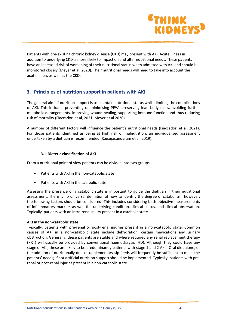

Patients with pre-existing chronic kidney disease (CKD) may present with AKI. Acute illness in addition to underlying CKD is more likely to impact on and alter nutritional needs. These patients have an increased risk of worsening of their nutritional status when admitted with AKI and should be monitored closely (Meyer et al, 2020). Their nutritional needs will need to take into account the acute illness as well as the CKD.

## **3. Principles of nutrition support in patients with AKI**

The general aim of nutrition support is to maintain nutritional status whilst limiting the complications of AKI. This includes preventing or minimising PEW, preserving lean body mass, avoiding further metabolic derangements, improving wound healing, supporting immune function and thus reducing risk of mortality (Fiaccadori et al, 2021; Meyer et al 2020).

A number of different factors will influence the patient's nutritional needs (Fiaccadori et al, 2021). For those patients identified as being at high risk of malnutrition, an individualised assessment undertaken by a dietitian is recommended (Kanagasundaram et al, 2019).

#### **3.1 Dietetic classification of AKI**

From a nutritional point of view patients can be divided into two groups:

- Patients with AKI in the non-catabolic state
- Patients with AKI in the catabolic state

Assessing the presence of a catabolic state is important to guide the dietitian in their nutritional assessment. There is no universal definition of how to identify the degree of catabolism, however, the following factors should be considered. This includes considering both objective measurements of inflammatory markers as well the underlying condition, clinical status, and clinical observation. Typically, patients with an intra-renal injury present in a catabolic state.

#### **AKI in the non-catabolic state**

Typically, patients with pre-renal or post-renal injuries present in a non-catabolic state. Common causes of AKI in a non-catabolic state include dehydration, certain medications and urinary obstruction. Generally, these patients are stable and where required any renal replacement therapy (RRT) will usually be provided by conventional haemodialysis (HD). Although they could have any stage of AKI, these are likely to be predominantly patients with stage 1 and 2 AKI. Oral diet alone, or the addition of nutritionally-dense supplementary sip feeds will frequently be sufficient to meet the patients' needs; if not artificial nutrition support should be implemented. Typically, patients with prerenal or post-renal injuries present in a non-catabolic state.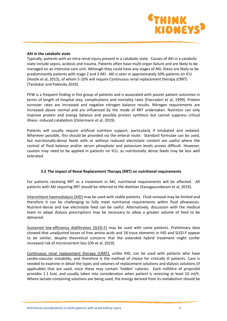

#### **AKI in the catabolic state**

Typically, patients with an intra-renal injury present in a catabolic state. Causes of AKI in a catabolic state include sepsis, acidosis and trauma. Patients often have multi-organ failure and are likely to be managed on an intensive care unit. Although they could have any stages of AKI, these are likely to be predominantly patients with stage 2 and 3 AKI. AKI is seen in approximately 50% patients on ICU (Hostle et al, 2015), of whom 5-10% will require Continuous renal replacement therapy (CRRT) (Tandukar and Palevsky 2019).

PEW is a frequent finding in this group of patients and is associated with poorer patient outcomes in terms of length of hospital stay, complications and mortality rates (Fiaccadori et al, 1999). Protein turnover rates are increased and negative nitrogen balance results. Nitrogen requirements are increased above normal and are influenced by the mode of RRT undertaken. Nutrition can only improve protein and energy balance and possibly protein synthesis but cannot suppress critical illness -induced catabolism (Ostermann et al, 2019).

Patients will usually require artificial nutrition support, particularly if intubated and sedated. Wherever possible, this should be provided via the enteral route. Standard formulae can be used, but nutritionally-dense feeds with or without reduced electrolyte content are useful where the control of fluid balance and/or serum phosphate and potassium levels proves difficult. However, caution may need to be applied in patients on ICU, as nutritionally dense feeds may be less well tolerated.

#### **3.2 The impact of Renal Replacement Therapy (RRT) on nutritional requirements**

For patients receiving RRT as a treatment in AKI, nutritional requirements will be affected. All patients with AKI requiring RRT should be referred to the dietitian (Kanagasundaram et al, 2019).

Intermittent haemodialysis (IHD) may be used with stable patients. Fluid removal may be limited and therefore it can be challenging to fully meet nutritional requirements within fluid allowances. Nutrient-dense and low electrolyte feed can be useful. Alternatively, discussion with the medical team to adapt dialysis prescriptions may be necessary to allow a greater volume of feed to be delivered.

Sustained low-efficiency diafiltration (SLED-F) may be used with some patients. Preliminary data showed that unadjusted losses of free amino acids and 18 trace elements in IHD and SLED-F appear to be similar, despite theoretical concerns that the extended hybrid treatment might confer increased risk of micronutrient loss (Oh et al, 2019).

Continuous renal replacement therapy (CRRT), unlike IHD, can be used with patients who have cardio-vascular instability, and therefore is the method of choice for critically ill patients. Care is needed to examine in detail the types and volumes of replacement solutions and dialysis solutions (if applicable) that are used, since these may contain 'hidden' calories. Each millilitre of proprofol provides 1.1 kcal, and usually taken into consideration when patient is receiving at least 10 ml/h. Where lactate-containing solutions are being used, the energy derived from its metabolism should be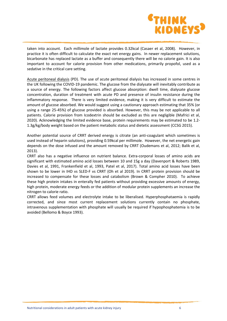

taken into account. Each millimole of lactate provides 0.32kcal (Casaer et al, 2008). However, in practice it is often difficult to calculate the exact net energy gains. In newer replacement solutions, bicarbonate has replaced lactate as a buffer and consequently there will be no calorie gain. It is also important to account for calorie provision from other medications, primarily propofol, used as a sedative in the critical care setting.

Acute peritoneal dialysis (PD). The use of acute peritoneal dialysis has increased in some centres in the UK following the COVID-19 pandemic. The glucose from the dialysate will inevitably contribute as a source of energy. The following factors affect glucose absorption: dwell time, dialysate glucose concentration, duration of treatment with acute PD and presence of insulin resistance during the inflammatory response. There is very limited evidence, making it is very difficult to estimate the amount of glucose absorbed. We would suggest using a cautionary approach estimating that 35% (or using a range 25-45%) of glucose provided is absorbed. However, this may be not applicable to all patients. Calorie provision from Icodextrin should be excluded as this are negligible (Mafrici et al, 2020). Acknowledging the limited evidence base, protein requirements may be estimated to be 1.2- 1.3g/kg/body weight based on the patient metabolic status and dietetic assessment (CCSG 2015).

Another potential source of CRRT derived energy is citrate (an anti-coagulant which sometimes is used instead of heparin solutions), providing 0.59kcal per millimole. However, the net energetic gain depends on the dose infused and the amount removed by CRRT (Oudemans et al, 2012; Balik et al, 2013).

CRRT also has a negative influence on nutrient balance. Extra-corporal losses of amino acids are significant with estimated amino acid losses between 10 and 15g a day (Davenport & Roberts 1989, Davies et al, 1991, Frankenfield et al, 1993, Patel et al, 2017). Total amino acid losses have been shown to be lower in IHD vs SLED-F vs CRRT (Oh et al 2019). In CRRT protein provision should be increased to compensate for these losses and catabolism (Brown & Compher 2010). To achieve these high protein intakes in enterally fed patients without providing excessive amounts of energy, high protein, moderate energy feeds or the addition of modular protein supplements an increase the nitrogen to calorie ratio.

CRRT allows feed volumes and electrolyte intake to be liberalised. Hyperphosphataemia is rapidly corrected, and since most current replacement solutions currently contain no phosphate, intravenous supplementation with phosphate will usually be required if hypophosphatemia is to be avoided (Bellomo & Boyce 1993).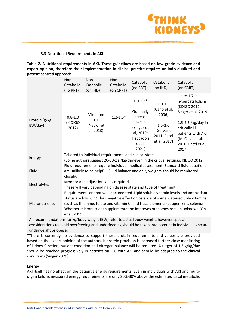

#### **3.3 Nutritional Requirements in AKI**

| Table 2. Nutritional requirements in AKI. These guidelines are based on low grade evidence and     |  |
|----------------------------------------------------------------------------------------------------|--|
| expert opinion, therefore their implementation in clinical practice requires an individualized and |  |
| patient centred approach.                                                                          |  |

|                                                                                                                                                                                                                                   | Non-                                                                                                                                                                  | Non-                                      | Non-         | Catabolic                                                          | Catabolic                                               | Catabolic                                                                                                   |  |  |
|-----------------------------------------------------------------------------------------------------------------------------------------------------------------------------------------------------------------------------------|-----------------------------------------------------------------------------------------------------------------------------------------------------------------------|-------------------------------------------|--------------|--------------------------------------------------------------------|---------------------------------------------------------|-------------------------------------------------------------------------------------------------------------|--|--|
|                                                                                                                                                                                                                                   | Catabolic                                                                                                                                                             | Catabolic                                 | Catabolic    | (no RRT)                                                           | (on IHD)                                                | (on CRRT)                                                                                                   |  |  |
|                                                                                                                                                                                                                                   | (no RRT)                                                                                                                                                              | (on IHD)                                  | (on CRRT)    |                                                                    |                                                         |                                                                                                             |  |  |
|                                                                                                                                                                                                                                   | $0.8 - 1.0$<br>(KIDIGO<br>2012)                                                                                                                                       | Minimum<br>1.1<br>(Naylor et<br>al, 2013) | $1.2 - 1.5*$ | $1.0 - 1.3*$<br>Gradually                                          | $1.0 - 1.5$<br>(Cano et al,                             | Up to 1.7 in<br>hypercatabolism<br>(KDIGO 2012,<br>Singer et al, 2019)                                      |  |  |
|                                                                                                                                                                                                                                   |                                                                                                                                                                       |                                           |              | increase                                                           | 2006)                                                   |                                                                                                             |  |  |
| Protein (g/kg<br>BW/day)                                                                                                                                                                                                          |                                                                                                                                                                       |                                           |              | to 1.3<br>(Singer et<br>al, 2019;<br>Fiaccadori<br>et al,<br>2021) | $1.5 - 2.0$<br>(Gervasio<br>2011; Patel<br>et al, 2017) | 1.5-2.5 /kg/day in<br>critically ill<br>patients with AKI<br>(McClave et al,<br>2016; Patel et al,<br>2017) |  |  |
|                                                                                                                                                                                                                                   | Tailored to individual requirements and clinical state                                                                                                                |                                           |              |                                                                    |                                                         |                                                                                                             |  |  |
| Energy                                                                                                                                                                                                                            | (Some authors suggest 20-30kcal/kg/day even in the critical settings, KIDGO 2012)                                                                                     |                                           |              |                                                                    |                                                         |                                                                                                             |  |  |
| Fluid                                                                                                                                                                                                                             | Fluid requirements require individual medical assessment. Standard fluid equations<br>are unlikely to be helpful. Fluid balance and daily weights should be monitored |                                           |              |                                                                    |                                                         |                                                                                                             |  |  |
|                                                                                                                                                                                                                                   | closely.                                                                                                                                                              |                                           |              |                                                                    |                                                         |                                                                                                             |  |  |
| Electrolytes                                                                                                                                                                                                                      | Monitor and adjust intake as required.                                                                                                                                |                                           |              |                                                                    |                                                         |                                                                                                             |  |  |
|                                                                                                                                                                                                                                   | These will vary depending on disease state and type of treatment.                                                                                                     |                                           |              |                                                                    |                                                         |                                                                                                             |  |  |
|                                                                                                                                                                                                                                   | Requirements are not well documented. Lipid soluble vitamin levels and antioxidant                                                                                    |                                           |              |                                                                    |                                                         |                                                                                                             |  |  |
|                                                                                                                                                                                                                                   | status are low. CRRT has negative effect on balance of some water-soluble vitamins                                                                                    |                                           |              |                                                                    |                                                         |                                                                                                             |  |  |
| Micronutrients                                                                                                                                                                                                                    | (such as thiamine, folate and vitamin C) and trace elements (copper, zinc, selenium.                                                                                  |                                           |              |                                                                    |                                                         |                                                                                                             |  |  |
|                                                                                                                                                                                                                                   | Whether micronutrient supplementation improves outcomes remain unknown (Oh                                                                                            |                                           |              |                                                                    |                                                         |                                                                                                             |  |  |
|                                                                                                                                                                                                                                   | et al, 2019).                                                                                                                                                         |                                           |              |                                                                    |                                                         |                                                                                                             |  |  |
| All recommendations for kg/body weight (BW) refer to actual body weight, however special                                                                                                                                          |                                                                                                                                                                       |                                           |              |                                                                    |                                                         |                                                                                                             |  |  |
| $\mathbf{r}$ , and the state of the state of the state of the state of the state of the state of the state of the state of the state of the state of the state of the state of the state of the state of the state of the state o |                                                                                                                                                                       |                                           |              |                                                                    |                                                         |                                                                                                             |  |  |

considerations to avoid overfeeding and underfeeding should be taken into account in individual who are underweight or obese.

\*There is currently no evidence to support these protein requirements and values are provided based on the expert opinion of the authors. If protein provision is increased further close monitoring of kidney function, patient condition and nitrogen balance will be required. A target of 1.3 g/kg/day should be reached progressively in patients on ICU with AKI and should be adapted to the clinical conditions (Singer 2020).

#### **Energy**

AKI itself has no effect on the patient's energy requirements. Even in individuals with AKI and multiorgan failure, measured energy requirements are only 20%-30% above the estimated basal metabolic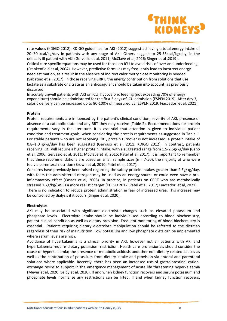

rate values (KDIGO 2012). KDIGO guidelines for AKI (2012) suggest achieving a total energy intake of 20–30 kcal/kg/day in patients with any stage of AKI. Others suggest to 25-35kcal/kg/day, in the critically ill patient with AKI (Gervasio et al, 2011; McClave et al, 2016; Singer et al ,2019). Critical care specific equations may be used for those on ICU to avoid risks of over and underfeeding (Frankenfield et al, 2004). However, predictive formulas may frequently lead to incorrect energy need estimation, as a result in the absence of indirect calorimetry close monitoring is needed (Sabatino et al, 2017). In those receiving CRRT, the energy contribution from solutions that use lactate as a substrate or citrate as an anticoagulant should be taken into account, as previously discussed.

In acutely unwell patients with AKI on ICU, hypocaloric feeding (not exceeding 70% of energy expenditure) should be administered for the first 3 days of ICU admission (ESPEN 2019). After day 3, caloric delivery can be increased up to 80-100% of measured EE (ESPEN 2019, Fiaccadori et al, 2021).

#### **Protein**

Protein requirements are influenced by the patient's clinical condition, severity of AKI, presence or absence of a catabolic state and any RRT they may receive (Table 2). Recommendations for protein requirements vary in the literature. It is essential that attention is given to individual patient condition and treatment goals, when considering the protein requirements as suggested in Table 1. For stable patients who are not receiving RRT, protein turnover is not increased; a protein intake of 0.8–1.0 g/kg/day has been suggested (Gervaso et al, 2011; KDIGO 2012). In contrast, patients receiving RRT will require a higher protein intake, with a suggested range from 1.5-2.5g/kg/day (Cano et al, 2006; Gervasio et al, 2011; McClave et al, 2016; Patel et al, 2017). It is important to remember that these recommendations are based on small sample sizes ( $n = 7-50$ ), the majority of who were fed via parenteral nutrition (Brown et al, 2010; Patel et al, 2017).

Concerns have previously been raised regarding the safety protein intakes greater than 2.5g/kg/day, with fears the administered nitrogen may be used as an energy source or could even have a proinflammatory effect (Casaer et al, 2008). In practice, in patients on CRRT who are metabolically stressed 1.7g/kg/BW is a more realistic target (KDIGO 2012; Patel et al, 2017; Fiaccadori et al, 2021). There is no indication to reduce protein administration in fear of increased urea. This increase may be controlled by dialysis if it occurs (Singer et al, 2020).

#### **Electrolytes**

AKI may be associated with significant electrolyte changes such as elevated potassium and phosphate levels. Electrolyte intake should be individualised according to blood biochemistry, patient clinical condition as well as dietary provision. Frequent monitoring of blood biochemistry is essential. Patients requiring dietary electrolyte manipulation should be referred to the dietitian regardless of their risk of malnutrition. Low potassium and low phosphate diets can be implemented where serum levels are high.

Avoidance of hyperkalaemia is a clinical priority in AKI, however not all patients with AKI and hyperkalaemia require dietary potassium restriction. Health care professionals should consider the cause of hyperkalaemia; the presence of metabolic acidosis andother non-dietary related causes as well as the contribution of potassium from dietary intake and provision via enteral and parenteral solutions where applicable. Recently, there has been an increased use of gastrointestinal cationexchange resins to support in the emergency management of acute life threatening hyperkalaemia (Meyer et al, 2020; Selby et al. 2020). If and when kidney function recovers and serum potassium and phosphate levels normalise any restrictions can be lifted. If and when kidney function recovers,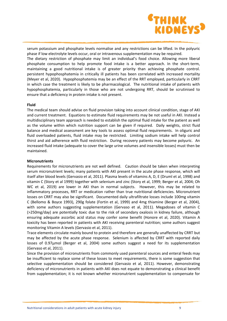

serum potassium and phosphate levels normalise and any restrictions can be lifted. In the polyuric phase if low electrolyte levels occur, oral or intravenous supplementation may be required.

The dietary restriction of phosphate may limit an individual's food choice. Allowing more liberal phosphate consumption to help promote food intake is a better approach. In the short-term, maintaining a good nutritional intake is of greater priority than achieving phosphate control. persistent hypophosphatemia in critically ill patients has been correlated with increased mortality (Meyer et al, 2020). Hypophosphatemia may be an effect of the RRT employed, particularly in CRRT in which case the treatment is likely to be pharmacological. The nutritional intake of patients with hypophosphatemia, particularly in those who are not undergoing RRT, should be scrutinised to ensure that a deficiency in protein intake is not present.

#### **Fluid**

The medical team should advise on fluid provision taking into account clinical condition, stage of AKI and current treatment. Equations to estimate fluid requirements may be not useful in AKI. Instead a multidisciplinary team approach is needed to establish the optimal fluid intake for the patient as well as the volume within which nutrition support can be given if required. Daily weights, strict fluid balance and medical assessment are key tools to assess optimal fluid requirements. In oliguric and fluid overloaded patients, fluid intake may be restricted. Limiting sodium intake will help control thirst and aid adherence with fluid restriction. During recovery patients may become polyuric. An increased fluid intake (adequate to cover the large urine volumes and insensible losses) must then be maintained.

#### **Micronutrients**

Requirements for micronutrients are not well defined. Caution should be taken when interpreting serum micronutrient levels; many patients with AKI present in the acute phase response, which will itself alter blood levels (Gervasio et al, 2011). Plasma levels of vitamins A, D, E (Druml et al, 1998) and vitamin C (Story et al 1999) together with selenium and zinc (Story et al, 1999; Berger et al, 2004; Oh WC et al, 2019) are lower in AKI than in normal subjects. However, this may be related to inflammatory processes, RRT or medication rather than true nutritional deficiencies. Micronutrient losses on CRRT may also be significant. Documented daily ultrafiltrate losses include 100mg vitamin C (Bellomo & Boyce 1993), 290g folate (Fortin et al, 1999) and 4mg thiamine (Berger et al, 2004), with some authors suggesting supplementation (Gervaso et al, 2011). Megadoses of vitamin C (>250mg/day) are potentially toxic due to the risk of secondary oxalosis in kidney failure, although ensuring adequate ascorbic acid status may confer some benefit (Honore et al, 2020). Vitamin A toxicity has been reported in patients with AKI receiving parenteral nutrition; some authors suggest monitoring Vitamin A levels (Gervasio et al, 2011).

Trace elements circulate mainly bound to protein and therefore are generally unaffected by CRRT but may be affected by the acute phase response. Selenium is affected by CRRT with reported daily losses of 0.97µmol (Berger et al, 2004) some authors suggest a need for its supplementation (Gervaso et al, 2011).

Since the provision of micronutrients from commonly used parenteral sources and enteral feeds may be insufficient to replace some of these losses to meet requirements, there is some suggestion that selective supplementation should be considered (Gervasio et al, 2011). However, demonstrating deficiency of micronutrients in patients with AKI does not equate to demonstrating a clinical benefit from supplementation; it is not known whether micronutrient supplementation to compensate for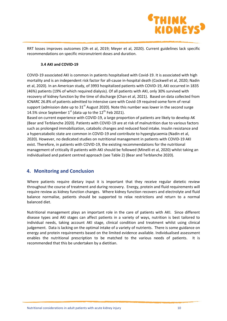

RRT losses improves outcomes (Oh et al, 2019; Meyer et al, 2020). Current guidelines lack specific recommendations on specific micronutrient doses and duration.

#### **3.4 AKI and COVID-19**

COVID-19 associated AKI is common in patients hospitalised with Covid-19. It is associated with high mortality and is an independent risk factor for all-cause in-hospital death (Cockwell et al, 2020; Nadin et al, 2020). In an American study, of 3993 hospitalized patients with COVID-19, AKI occurred in 1835 (46%) patients (19% of which required dialysis). Of all patients with AKI, only 30% survived with recovery of kidney function by the time of discharge (Chan et al, 2021). Based on data collected from ICNARC 26.8% of patients admitted to intensive care with Covid-19 required some form of renal support (admission date up to  $31<sup>st</sup>$  August 2020). Note this number was lower in the second surge 14.5% since September  $1<sup>st</sup>$  (data up to the  $12<sup>th</sup>$  Feb 2021).

Based on current experience with COVID-19, a large proportion of patients are likely to develop AK (Bear and Terblanche 2020). Patients with COVID-19 are at risk of malnutrition due to various factors such as prolonged immobilization, catabolic changes and reduced food intake. Insulin resistance and a hypercatabolic state are common in COVID-19 and contribute to hyperglycaemia (Nadin et al, 2020). However, no dedicated studies on nutritional management in patients with COVID-19 AKI exist. Therefore, in patients with COVID-19, the existing recommendations for the nutritional management of critically ill patients with AKI should be followed (Minelli et al, 2020) whilst taking an individualised and patient centred approach (see Table 2) (Bear and Terblanche 2020).

## **4. Monitoring and Conclusion**

Where patients require dietary input it is important that they receive regular dietetic review throughout the course of treatment and during recovery. Energy, protein and fluid requirements will require review as kidney function changes. Where kidney function recovers and electrolyte and fluid balance normalise, patients should be supported to relax restrictions and return to a normal balanced diet.

Nutritional management plays an important role in the care of patients with AKI. Since different disease types and AKI stages can affect patients in a variety of ways, nutrition is best tailored to individual needs, taking account AKI stage, clinical condition and treatment whilst using clinical judgement. Data is lacking on the optimal intake of a variety of nutrients. There is some guidance on energy and protein requirements based on the limited evidence available. Individualised assessment enables the nutritional prescription to be matched to the various needs of patients. It is recommended that this be undertaken by a dietitian.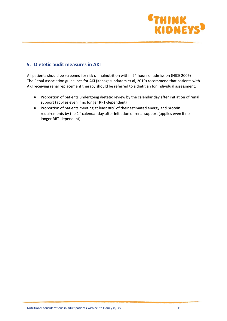

## **5. Dietetic audit measures in AKI**

All patients should be screened for risk of malnutrition within 24 hours of admission (NICE 2006) The Renal Association guidelines for AKI (Kanagasundaram et al, 2019) recommend that patients with AKI receiving renal replacement therapy should be referred to a dietitian for individual assessment:

- Proportion of patients undergoing dietetic review by the calendar day after initiation of renal support (applies even if no longer RRT-dependent)
- Proportion of patients meeting at least 80% of their estimated energy and protein requirements by the  $2^{nd}$  calendar day after initiation of renal support (applies even if no longer RRT-dependent).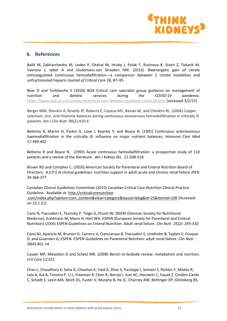

## **6. References**

Balik M, Zakharchenko M, Leden P, Otahal M, Hruby J, Polak F, Rusinova K, Stach Z, Tokarik M, Vavrova J, Jabor A and Oudemans-van Straaten HM. (2013). Bioenergetic gain of citrate anticoagulated continuous hemodiafiltration—a comparison between 2 citrate modalities and unfractionated heparin *Journal of Critical Care* 28, 87–95

Bear D and Terblanche E (2020) BDA Critical care specialist group guidance on management of nutrition and dietetic services during the COVID-19 pandemic. <https://www.bda.uk.com/resource/critical-care-dietetics-guidance-covid-19.html> [accessed 3/2/21]

Berger MM, Shenkin A, Revelly JP, Roberts E, Cayeux MC, Baines M, and Chioléro RL. (2004) Copper, selenium, zinc, and thiamine balances during continuous venovenous hemodiafiltration in critically ill patients. *Am J Clin Nutr.* 80(2):410-6

Bellomo R, Martin H, Parkin G, Love J, Kearley Y, and Boyce N. (1991) Continuous arteriovenous haemodiafiltration in the critically ill: influence on major nutrient balances, *Intensive Care Med* 17:399-402

Bellomo R and Boyce N. (1993) Acute continuous hemodialfiltration: a prospective study of 110 patients and a review of the literature. *Am J Kidney Dis*. 21:508-518

Brown RO and Compher C. (2010) American Society for Parenteral and Enteral Nutrition Board of Directors. A.S.P.E.N clinical guidelines: nutrition support in adult acute and chronic renal failure *JPEN* 34:366-377

Canadian Clinical Guidelines Committee (2015) Canadian Critical Care Nutrition Clinical Practice Guideline. Available at: http://criticalcarenutrition .com/index.php?option=com\_content&view=category&layout=blog&id=25&Itemid=109 [Accessed on 23.1.21]

Cano N, Fiaccadori E, Tesinsky P, Toigo G, Druml W; DGEM (German Society for Nutritional Medicine), Kuhlmann M, Mann H, Hörl WH; ESPEN (European Society for Parenteral and Enteral Nutrition) (2006) ESPEN Guidelines on Enteral Nutrition: Adult renal failure. *Clin Nutr.* 25(2): 295-310

Cano NJ, Aparicio M, Brunori G, Carrero JJ, Cianciaruso B, Fiaccadori E, Lindholm B, Teplan V, Fouque D, and Guarnieri G; ESPEN. ESPEN Guidelines on Parenteral Nutrition: adult renal failure. *Clin Nutr.* 28(4):401-14.

Casaer MP, Mesotten D and Schetz MR. (2008) Bench-to-bedside review: metabolism and nutrition. *Crit Care* 12:222

Chan L, Chaudhary K, Saha A, Chauhan K, Vaid A, Zhao S, Paranjpe I, Somani S, Richter F, Miotto R, Lala A, Kia A, Timsina P, Li L, Freeman R, Chen R, Narula J, Just AC, Horowitz C, Fayad Z, Cordon-Cardo C, Schadt E, Levin MA, Reich DL, Fuster V, Murphy B, He JC, Charney AW, Böttinger EP, Glicksberg BS,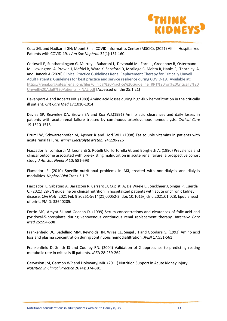

Coca SG, and Nadkarni GN; Mount Sinai COVID Informatics Center (MSCIC). (2021) AKI in Hospitalized Patients with COVID-19. *J Am Soc Nephrol.* 32(1):151-160.

Cockwell P, Suntharalingam G. Murray J, Baharani J, Devonald M, Forni L, Greenhow R, Ostermann M, Lewington A, Prowle J, Mafrici B, Ward K, Sapsford D, Morlidge C, Mehta R, Hanks F, Thornley A, and Hancok A (2020) Clinical Practice Guidelines Renal Replacement Therapy for Critically Unwell Adult Patients: Guidelines for best practice and service resilience during COVID-19. Available at: [https://renal.org/sites/renal.org/files/Clinical%20Practice%20Guideline\\_RRT%20for%20Critically%20](https://renal.org/sites/renal.org/files/Clinical%20Practice%20Guideline_RRT%20for%20Critically%20Unwell%20Adult%20Patients_FINAL.pdf) [Unwell%20Adult%20Patients\\_FINAL.pdf](https://renal.org/sites/renal.org/files/Clinical%20Practice%20Guideline_RRT%20for%20Critically%20Unwell%20Adult%20Patients_FINAL.pdf) [Accessed on the 25.1.21]

Davenport A and Roberts NB. (1989) Amino acid losses during high-flux hemofiltration in the critically ill patient. *Crit Care Med* 17:1010-1014

Davies SP, Reaveley DA, Brown EA and Kox WJ.(1991) Amino acid clearances and daily losses in patients with acute renal failure treated by continuous arteriovenous hemodialysis. *Critical Care* 19:1510-1515

Druml W, Schwarzenhofer M, Apsner R and Horl WH. (1998) Fat soluble vitamins in patients with acute renal failure. *Miner Electrolyte MetabI* 24:220-226

Fiaccadori E, Lombardi M, Leonardi S, Rotelli CF, Tortorella G, and Borghetti A. (1990) Prevalence and clinical outcome associated with pre-existing malnutrition in acute renal failure: a prospective cohort study. *J Am Soc Nephrol* 10: 581-593

Fiaccadori E. (2010) Specific nutritional problems in AKI, treated with non-dialysis and dialysis modalities *Nephrol Dial Trans* 3:1-7

Fiaccadori E, Sabatino A, Barazzoni R, Carrero JJ, Cupisti A, De Waele E, Jonckheer J, Singer P, Cuerda C. (2021) ESPEN guideline on clinical nutrition in hospitalized patients with acute or chronic kidney disease. *Clin Nutr.* 2021 Feb 9:S0261-5614(21)00052-2. doi: 10.1016/j.clnu.2021.01.028. Epub ahead of print. PMID: 33640205.

Fortin MC, Amyot SL and Geadah D. (1999) Serum concentrations and clearances of folic acid and pyridoxal-5-phosphate during venovenous continuous renal replacement therapy. *Intensive Care Med* 25:594-598

Frankenfield DC, Badellino MM, Reynolds HN, Wiles CE, Siegel JH and Goodarzi S. (1993) Amino acid loss and plasma concentration during continuous hemodiafiltration. *JPEN* 17:551-561

Frankenfield D, Smith JS and Cooney RN. (2004) Validation of 2 approaches to predicting resting metabolic rate in critically ill patients. *JPEN* 28:259-264

Gervasion JM, Garmon WP and Holowatyj MR. (2011) Nutrition Support in Acute Kidney Injury *Nutrition in Clinical Practice* 26 (4): 374-381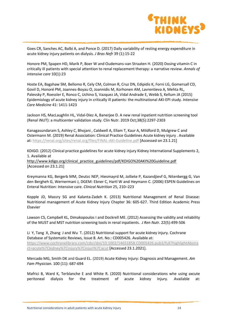

Goes CR, Sanches AC, Balbi A, and Ponce D. (2017) Daily variability of resting energy expenditure in acute kidney injury patients on dialysis. *J Bras Nefr* 39 (1):15-22

Honore PM, Spapen HD, Marik P, Boer W and Oudemans-van Straaten H. (2020) Dosing vitamin C in critically ill patients with special attention to renal replacement therapy: a narrative review. *Annals of intensive care* 10(1):23

Hoste EA, Bagshaw SM, Bellomo R, Cely CM, Colman R, Cruz DN, Edipidis K, Forni LG, Gomersall CD, Govil D, Honoré PM, Joannes-Boyau O, Joannidis M, Korhonen AM, Lavrentieva A, Mehta RL, Palevsky P, Roessler E, Ronco C, Uchino S, Vazquez JA, Vidal Andrade E, Webb S, Kellum JA (2015) Epidemiology of acute kidney injury in critically ill patients: the multinational AKI-EPI study. *Intensive Care Medicine* 41: 1411-1423

Jackson HS, MacLaughlin HL, Vidal-Diez A, Banerjee D. A new renal inpatient nutrition screening tool (Renal iNUT): a multicenter validation study. Clin Nutr. 2019 Oct;38(5):2297-2303

Kanagasundaram S, Ashley C, Bhojani , Caldwell A, Ellam T, Kaur A, Mildford D, Mulgrew C and Ostermann M. (2019) Renal Association: Clinical Practice Guidelines Acute kidney injury . Available at:<https://renal.org/sites/renal.org/files/FINAL-AKI-Guideline.pdf> [Accessed on 23.1.21]

KDIGO. (2012) Clinical practice guidelines for acute kidney injury Kidney International Supplements 2, 1. Available at

[http://www.kdigo.org/clinical\\_practice\\_guidelines/pdf/KDIGO%20AKI%20Guideline.pdf](http://www.kdigo.org/clinical_practice_guidelines/pdf/KDIGO%20AKI%20Guideline.pdf) [Accessed on 23.1.21]

Kreymanna KG, Bergerb MM, Deutzc NEP, Hiesmayrd M, Jolliete P, Kazandjievf G, Nitenbergg G, Van den Bergheh G, Wernermani J, DGEM: Ebner C, Hartl W and Heymann C. (2006) ESPEN Guidelines on Enteral Nutrition: Intensive care. *Clinical Nutrition* 25, 210–223

Kopple JD, Massry SG and Kalanta-Zadeh K. (2013) Nutritional Management of Renal Disease: Nutritional management of Acute Kidney Injury Chapter 36: 605-627. Third Edition Academic Press Elsevier

[Lawson CS,](http://www.ncbi.nlm.nih.gov/pubmed/?term=Lawson%20CS%5BAuthor%5D&cauthor=true&cauthor_uid=22217536) [Campbell KL,](http://www.ncbi.nlm.nih.gov/pubmed/?term=Campbell%20KL%5BAuthor%5D&cauthor=true&cauthor_uid=22217536) [Dimakopoulos I](http://www.ncbi.nlm.nih.gov/pubmed/?term=Dimakopoulos%20I%5BAuthor%5D&cauthor=true&cauthor_uid=22217536) and [Dockrell ME.](http://www.ncbi.nlm.nih.gov/pubmed/?term=Dockrell%20ME%5BAuthor%5D&cauthor=true&cauthor_uid=22217536) (2012) Assessing the validity and reliability of the MUST and MST nutrition screening tools in renal inpatients. *[J Ren Nutr](http://www.ncbi.nlm.nih.gov/pubmed/22217536)*. 22(5):499-506

Li Y, Tang X, Zhang J and Wu T. (2012) Nutritional support for acute kidney injury. Cochrane Database of Systematic Reviews, Issue 8. Art. No.: CD005426. Available at: [https://www.cochranelibrary.com/cdsr/doi/10.1002/14651858.CD005426.pub3/full?highlightAbstra](https://www.cochranelibrary.com/cdsr/doi/10.1002/14651858.CD005426.pub3/full?highlightAbstract=acute%7Ckidney%7Cinjury%7Cinjuri%7Cacut) [ct=acute%7Ckidney%7Cinjury%7Cinjuri%7Cacut](https://www.cochranelibrary.com/cdsr/doi/10.1002/14651858.CD005426.pub3/full?highlightAbstract=acute%7Ckidney%7Cinjury%7Cinjuri%7Cacut) [Accessed 23.1.2021].

Mercado MG, Smith DK and Guard EL. (2019) Acute Kidney Injury: Diagnosis and Management. *Am Fam Physician.* 100 (11): 687-694

Mafrici B, Ward K, Terblanche E and White R. (2020) Nutritional considerations whe using axcute peritoneal dialysis for the treatment of acute kidney Injury. Available at: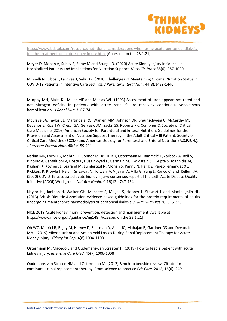

[https://www.bda.uk.com/resource/nutritional-considerations-when-using-acute-peritoneal-dialysis](https://www.bda.uk.com/resource/nutritional-considerations-when-using-acute-peritoneal-dialysis-for-the-treatment-of-acute-kidney-injury.html)[for-the-treatment-of-acute-kidney-injury.html](https://www.bda.uk.com/resource/nutritional-considerations-when-using-acute-peritoneal-dialysis-for-the-treatment-of-acute-kidney-injury.html) [Accessed on the 23.1.21]

Meyer D, Mohan A, Subev E, Sarav M and Sturgill D. (2020) Acute Kidney Injury Incidence in Hospitalized Patients and Implications for Nutrition Support. *Nutr Clin Pract* 35(6): 987-1000

Minnelli N, Gibbs L, Larrivee J, Sahu KK. (2020) Challenges of Maintaining Optimal Nutrition Status in COVID-19 Patients in Intensive Care Settings. *J Parenter Enteral Nutr*. 44(8):1439-1446.

Murphy MH, Alaka KJ, Miller ME and Macias WL. (1993) Assessment of urea appearance rated and net nitrogen deficits in patients with acute renal failure receiving continuous venovenous hemofiltration. *J Renal Nutr* 3: 67-74

McClave SA, Taylor BE, Martindale RG, Warren MM, Johnson DR, Braunschweig C, McCarthy MS, Davanos E, Rice TW, Cresci GA, Gervasio JM, Sacks GS, Roberts PR, Compher C; Society of Critical Care Medicine (2016) American Society for Parenteral and Enteral Nutrition. Guidelines for the Provision and Assessment of Nutrition Support Therapy in the Adult Critically Ill Patient: Society of Critical Care Medicine (SCCM) and American Society for Parenteral and Enteral Nutrition (A.S.P.E.N.). *J Parenter Enteral Nutr*. 40(2):159-211

Nadim MK, Forni LG, Mehta RL, Connor MJ Jr, Liu KD, Ostermann M, Rimmelé T, Zarbock A, Bell S, Bihorac A, Cantaluppi V, Hoste E, Husain-Syed F, Germain MJ, Goldstein SL, Gupta S, Joannidis M, Kashani K, Koyner JL, Legrand M, Lumlertgul N, Mohan S, Pannu N, Peng Z, Perez-Fernandez XL, Pickkers P, Prowle J, Reis T, Srisawat N, Tolwani A, Vijayan A, Villa G, Yang L, Ronco C, and Kellum JA. (2020) COVID-19-associated acute kidney injury: consensus report of the 25th Acute Disease Quality Initiative (ADQI) Workgroup. *Nat Rev Nephrol.* 16(12): 747-764.

Naylor HL, Jackson H, Walker GH, Macafee S, Magee S, Hooper L, Stewart L and MacLaughlin HL. (2013) British Dietetic Association evidence-based guidelines for the protein requirements of adults undergoing maintenance haemodialysis or peritoneal dialysis. *J Hum Nutr Diet* 26: 315-328

NICE 2019 Acute kidney injury: prevention, detection and management. Available at: https://www.nice.org.uk/guidance/ng148 [Accessed on the 23.1.21]

Oh WC, Mafrici B, Rigby M, Harvey D, Sharman A, Allen JC, Mahajan R, Gardner DS and Devonald MAJ. (2019) Micronutrient and Amino Acid Losses During Renal Replacement Therapy for Acute Kidney Injury. *Kidney Int Rep*. 4(8):1094-1108

Ostermann M, Macedo E and Oudemans-van Straaten H. (2019) How to feed a patient with acute kidney injury. *Intensive Care Med.* 45(7):1006-1008

Oudemans-van Straten HM and Ostermann M. (2012) Bench-to bedside review: Citrate for continuous renal replacement therapy. From science to practice *Crit Care.* 2012; 16(6): 249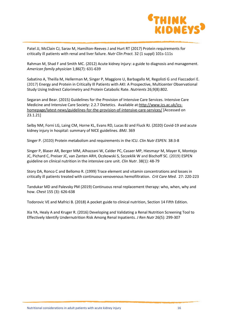

Patel JJ, McClain CJ, Sarav M, Hamilton-Reeves J and Hurt RT (2017) Protein requirements for critically ill patients with renal and liver failure. *Nutr Clin Pract.* 32 (1 suppl) 101s-111s

Rahman M, Shad F and Smith MC. (2012) Acute kidney injury: a guide to diagnosis and management. *American family physician* 1;86(7): 631-639

Sabatino A, Theilla M, Hellerman M, Singer P, Maggiore U, Barbagallo M, Regolisti G and Fiaccadori E. (2017) Energy and Protein in Critically Ill Patients with AKI: A Prospective, Multicenter Observational Study Using Indirect Calorimetry and Protein Catabolic Rate. *Nutrients* 26;9(8):802.

Segaran and Bear. (2015) Guidelines for the Provision of Intensive Care Services. Intensive Care Medicine and Intensive Care Society: 2.2.7 Dietetics. Available at[:http://www.ics.ac.uk/ics](http://www.ics.ac.uk/ics-homepage/latest-news/guidelines-for-the-provision-of-intensive-care-services/)[homepage/latest-news/guidelines-for-the-provision-of-intensive-care-services/](http://www.ics.ac.uk/ics-homepage/latest-news/guidelines-for-the-provision-of-intensive-care-services/) [Accessed on 23.1.21]

Selby NM, Forni LG, Laing CM, Horne KL, Evans RD, Lucas BJ and Fluck RJ. (2020) Covid-19 and acute kidney injury in hospital: summary of NICE guidelines. *BMJ*. 369

Singer P. (2020) Protein metabolism and requirements in the ICU. *Clin Nutr ESPEN.* 38:3-8

Singer P, Blaser AR, Berger MM, Alhazzani W, Calder PC, Casaer MP, Hiesmayr M, Mayer K, Montejo JC, Pichard C, Preiser JC, van Zanten ARH, Oczkowski S, Szczeklik W and Bischoff SC. (2019) ESPEN guideline on clinical nutrition in the intensive care unit. *Clin Nutr*. 38(1): 48-79

Story DA, Ronco C and Bellomo R. (1999) Trace element and vitamin concentrations and losses in critically ill patients treated with continuous venovenous hemofiltration. *Crit Care Med*. 27: 220-223

Tandukar MD and Palevsky PM (2019) Continuous renal replacement therapy: who, when, why and how. *Chest* 155 (3): 626-638

Todorovic VE and Mafrici B. (2018) A pocket guide to clinical nutrition, Section 14 Fifth Edition.

Xia YA, Healy A and Kruger R. (2016) Developing and Validating a Renal Nutrition Screening Tool to Effectively Identify Undernutrition Risk Among Renal Inpatients. *J Ren Nutr* 26(5): 299-307